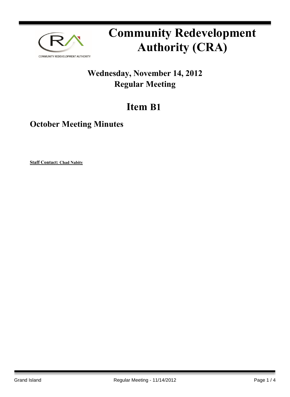

# **Community Redevelopment Authority (CRA)**

### **Wednesday, November 14, 2012 Regular Meeting**

## **Item B1**

**October Meeting Minutes**

**Staff Contact: Chad Nabity**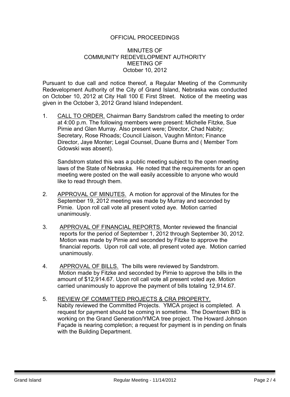#### OFFICIAL PROCEEDINGS

#### MINUTES OF COMMUNITY REDEVELOPMENT AUTHORITY MEETING OF October 10, 2012

Pursuant to due call and notice thereof, a Regular Meeting of the Community Redevelopment Authority of the City of Grand Island, Nebraska was conducted on October 10, 2012 at City Hall 100 E First Street. Notice of the meeting was given in the October 3, 2012 Grand Island Independent.

1. CALL TO ORDER. Chairman Barry Sandstrom called the meeting to order at 4:00 p.m. The following members were present: Michelle Fitzke, Sue Pirnie and Glen Murray. Also present were; Director, Chad Nabity; Secretary, Rose Rhoads; Council Liaison, Vaughn Minton; Finance Director, Jaye Monter; Legal Counsel, Duane Burns and ( Member Tom Gdowski was absent).

Sandstrom stated this was a public meeting subject to the open meeting laws of the State of Nebraska. He noted that the requirements for an open meeting were posted on the wall easily accessible to anyone who would like to read through them.

- 2. APPROVAL OF MINUTES. A motion for approval of the Minutes for the September 19, 2012 meeting was made by Murray and seconded by Pirnie. Upon roll call vote all present voted aye. Motion carried unanimously.
- 3. APPROVAL OF FINANCIAL REPORTS. Monter reviewed the financial reports for the period of September 1, 2012 through September 30, 2012. Motion was made by Pirnie and seconded by Fitzke to approve the financial reports. Upon roll call vote, all present voted aye. Motion carried unanimously.
- 4. APPROVAL OF BILLS. The bills were reviewed by Sandstrom. Motion made by Fitzke and seconded by Pirnie to approve the bills in the amount of \$12,914.67. Upon roll call vote all present voted aye. Motion carried unanimously to approve the payment of bills totaling 12,914.67.
- 5. REVIEW OF COMMITTED PROJECTS & CRA PROPERTY. Nabity reviewed the Committed Projects. YMCA project is completed. A request for payment should be coming in sometime. The Downtown BID is working on the Grand Generation/YMCA tree project. The Howard Johnson Façade is nearing completion; a request for payment is in pending on finals with the Building Department.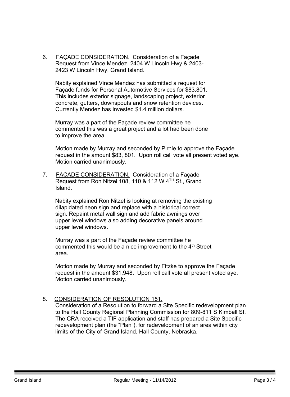6. FAÇADE CONSIDERATION. Consideration of a Façade Request from Vince Mendez, 2404 W Lincoln Hwy & 2403- 2423 W Lincoln Hwy, Grand Island.

 Nabity explained Vince Mendez has submitted a request for Façade funds for Personal Automotive Services for \$83,801. This includes exterior signage, landscaping project, exterior concrete, gutters, downspouts and snow retention devices. Currently Mendez has invested \$1.4 million dollars.

 Murray was a part of the Façade review committee he commented this was a great project and a lot had been done to improve the area.

Motion made by Murray and seconded by Pirnie to approve the Façade request in the amount \$83, 801. Upon roll call vote all present voted aye. Motion carried unanimously.

7. FACADE CONSIDERATION. Consideration of a Façade Request from Ron Nitzel 108, 110 & 112 W 4<sup>TH</sup> St., Grand Island.

 Nabity explained Ron Nitzel is looking at removing the existing dilapidated neon sign and replace with a historical correct sign. Repaint metal wall sign and add fabric awnings over upper level windows also adding decorative panels around upper level windows.

Murray was a part of the Façade review committee he commented this would be a nice improvement to the 4<sup>th</sup> Street area.

Motion made by Murray and seconded by Fitzke to approve the Façade request in the amount \$31,948. Upon roll call vote all present voted aye. Motion carried unanimously.

#### 8. CONSIDERATION OF RESOLUTION 151.

Consideration of a Resolution to forward a Site Specific redevelopment plan to the Hall County Regional Planning Commission for 809-811 S Kimball St. The CRA received a TIF application and staff has prepared a Site Specific redevelopment plan (the "Plan"), for redevelopment of an area within city limits of the City of Grand Island, Hall County, Nebraska.